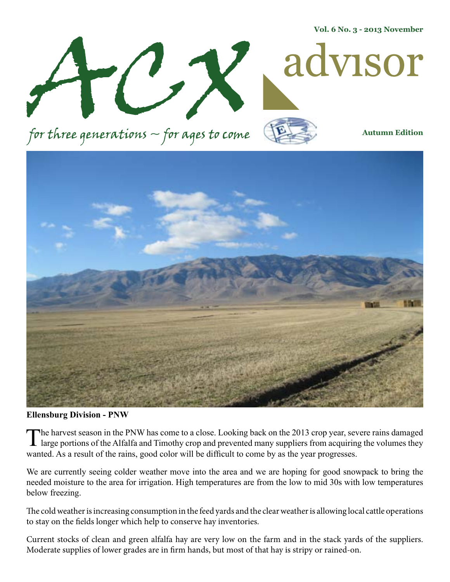**Vol. 6 No. 3 - 2013 November**



for three generations  $\sim$  for ages to come



**Autumn Edition**



**Ellensburg Division - PNW**

The harvest season in the PNW has come to a close. Looking back on the 2013 crop year, severe rains damaged large portions of the Alfalfa and Timothy crop and prevented many suppliers from acquiring the volumes they wanted. As a result of the rains, good color will be difficult to come by as the year progresses.

We are currently seeing colder weather move into the area and we are hoping for good snowpack to bring the needed moisture to the area for irrigation. High temperatures are from the low to mid 30s with low temperatures below freezing.

The cold weather is increasing consumption in the feed yards and the clear weather is allowing local cattle operations to stay on the fields longer which help to conserve hay inventories.

Current stocks of clean and green alfalfa hay are very low on the farm and in the stack yards of the suppliers. Moderate supplies of lower grades are in firm hands, but most of that hay is stripy or rained-on.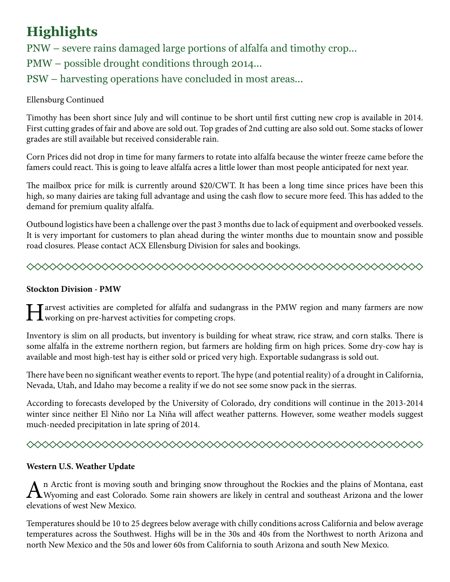# **Highlights**

PNW – severe rains damaged large portions of alfalfa and timothy crop... PMW – possible drought conditions through 2014... PSW – harvesting operations have concluded in most areas...

# Ellensburg Continued

Timothy has been short since July and will continue to be short until first cutting new crop is available in 2014. First cutting grades of fair and above are sold out. Top grades of 2nd cutting are also sold out. Some stacks of lower grades are still available but received considerable rain.

Corn Prices did not drop in time for many farmers to rotate into alfalfa because the winter freeze came before the famers could react. This is going to leave alfalfa acres a little lower than most people anticipated for next year.

The mailbox price for milk is currently around \$20/CWT. It has been a long time since prices have been this high, so many dairies are taking full advantage and using the cash flow to secure more feed. This has added to the demand for premium quality alfalfa.

Outbound logistics have been a challenge over the past 3 months due to lack of equipment and overbooked vessels. It is very important for customers to plan ahead during the winter months due to mountain snow and possible road closures. Please contact ACX Ellensburg Division for sales and bookings.



## **Stockton Division - PMW**

Tarvest activities are completed for alfalfa and sudangrass in the PMW region and many farmers are now T working on pre-harvest activities for competing crops.

Inventory is slim on all products, but inventory is building for wheat straw, rice straw, and corn stalks. There is some alfalfa in the extreme northern region, but farmers are holding firm on high prices. Some dry-cow hay is available and most high-test hay is either sold or priced very high. Exportable sudangrass is sold out.

There have been no significant weather events to report. The hype (and potential reality) of a drought in California, Nevada, Utah, and Idaho may become a reality if we do not see some snow pack in the sierras.

According to forecasts developed by the University of Colorado, dry conditions will continue in the 2013-2014 winter since neither El Niño nor La Niña will affect weather patterns. However, some weather models suggest much-needed precipitation in late spring of 2014.

# 

## **Western U.S. Weather Update**

An Arctic front is moving south and bringing snow throughout the Rockies and the plains of Montana, east Wyoming and east Colorado. Some rain showers are likely in central and southeast Arizona and the lower elevations of west New Mexico.

Temperatures should be 10 to 25 degrees below average with chilly conditions across California and below average temperatures across the Southwest. Highs will be in the 30s and 40s from the Northwest to north Arizona and north New Mexico and the 50s and lower 60s from California to south Arizona and south New Mexico.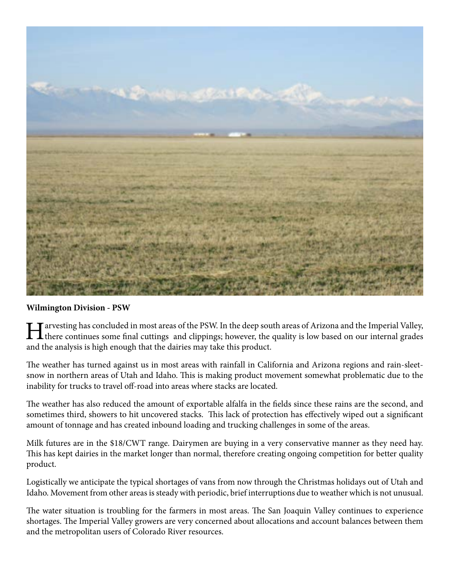

### **Wilmington Division - PSW**

I arvesting has concluded in most areas of the PSW. In the deep south areas of Arizona and the Imperial Valley, there continues some final cuttings and clippings; however, the quality is low based on our internal grades and the analysis is high enough that the dairies may take this product.

The weather has turned against us in most areas with rainfall in California and Arizona regions and rain-sleetsnow in northern areas of Utah and Idaho. This is making product movement somewhat problematic due to the inability for trucks to travel off-road into areas where stacks are located.

The weather has also reduced the amount of exportable alfalfa in the fields since these rains are the second, and sometimes third, showers to hit uncovered stacks. This lack of protection has effectively wiped out a significant amount of tonnage and has created inbound loading and trucking challenges in some of the areas.

Milk futures are in the \$18/CWT range. Dairymen are buying in a very conservative manner as they need hay. This has kept dairies in the market longer than normal, therefore creating ongoing competition for better quality product.

Logistically we anticipate the typical shortages of vans from now through the Christmas holidays out of Utah and Idaho. Movement from other areas is steady with periodic, brief interruptions due to weather which is not unusual.

The water situation is troubling for the farmers in most areas. The San Joaquin Valley continues to experience shortages. The Imperial Valley growers are very concerned about allocations and account balances between them and the metropolitan users of Colorado River resources.